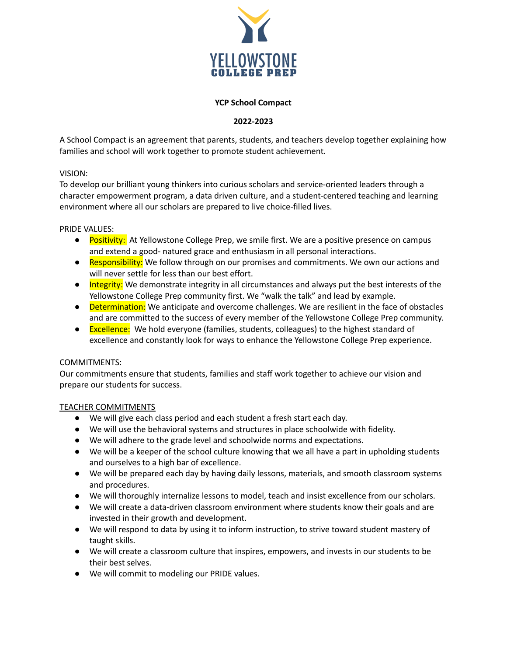

## **YCP School Compact**

## **2022-2023**

A School Compact is an agreement that parents, students, and teachers develop together explaining how families and school will work together to promote student achievement.

### VISION:

To develop our brilliant young thinkers into curious scholars and service-oriented leaders through a character empowerment program, a data driven culture, and a student-centered teaching and learning environment where all our scholars are prepared to live choice-filled lives.

## PRIDE VALUES:

- Positivity: At Yellowstone College Prep, we smile first. We are a positive presence on campus and extend a good- natured grace and enthusiasm in all personal interactions.
- Responsibility: We follow through on our promises and commitments. We own our actions and will never settle for less than our best effort.
- Integrity: We demonstrate integrity in all circumstances and always put the best interests of the Yellowstone College Prep community first. We "walk the talk" and lead by example.
- **Determination:** We anticipate and overcome challenges. We are resilient in the face of obstacles and are committed to the success of every member of the Yellowstone College Prep community.
- Excellence: We hold everyone (families, students, colleagues) to the highest standard of excellence and constantly look for ways to enhance the Yellowstone College Prep experience.

# COMMITMENTS:

Our commitments ensure that students, families and staff work together to achieve our vision and prepare our students for success.

# TEACHER COMMITMENTS

- We will give each class period and each student a fresh start each day.
- We will use the behavioral systems and structures in place schoolwide with fidelity.
- We will adhere to the grade level and schoolwide norms and expectations.
- We will be a keeper of the school culture knowing that we all have a part in upholding students and ourselves to a high bar of excellence.
- We will be prepared each day by having daily lessons, materials, and smooth classroom systems and procedures.
- We will thoroughly internalize lessons to model, teach and insist excellence from our scholars.
- We will create a data-driven classroom environment where students know their goals and are invested in their growth and development.
- We will respond to data by using it to inform instruction, to strive toward student mastery of taught skills.
- We will create a classroom culture that inspires, empowers, and invests in our students to be their best selves.
- We will commit to modeling our PRIDE values.